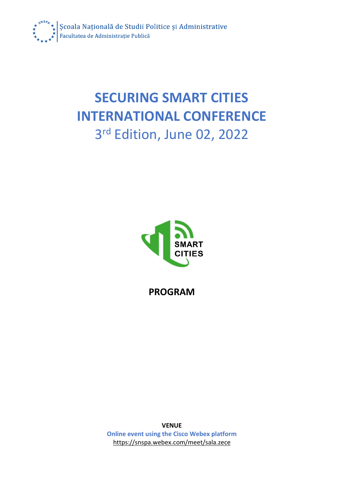

## **SECURING SMART CITIES INTERNATIONAL CONFERENCE** 3 rd Edition, June 02, 2022



**PROGRAM**

**VENUE Online event using the Cisco Webex platform** <https://snspa.webex.com/meet/sala.zece>